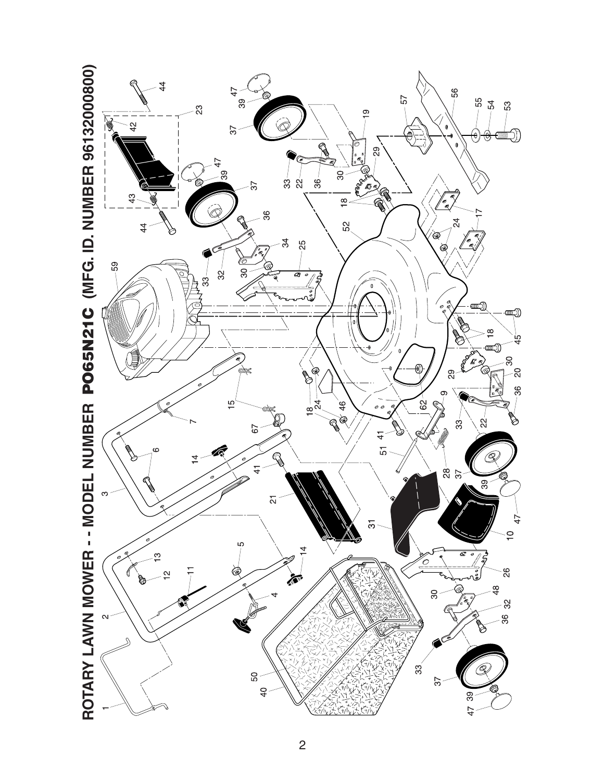